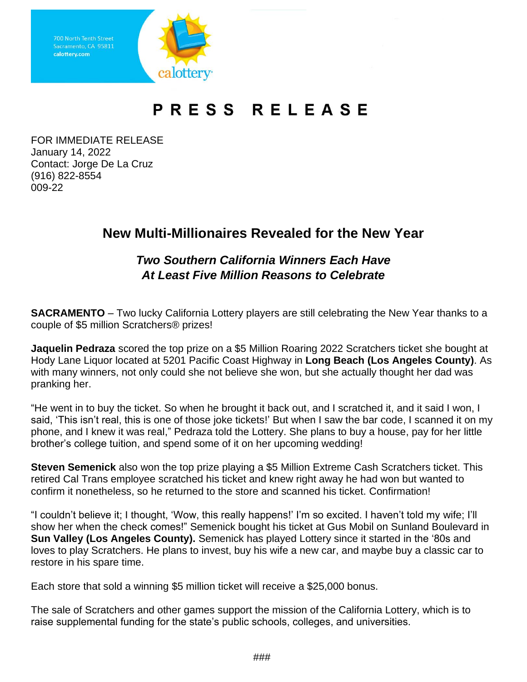

## PRESS RELEASE

FOR IMMEDIATE RELEASE January 14, 2022 Contact: Jorge De La Cruz (916) 822-8554 009-22

## **New Multi-Millionaires Revealed for the New Year**

## *Two Southern California Winners Each Have At Least Five Million Reasons to Celebrate*

**SACRAMENTO** – Two lucky California Lottery players are still celebrating the New Year thanks to a couple of \$5 million Scratchers® prizes!

**Jaquelin Pedraza** scored the top prize on a \$5 Million Roaring 2022 Scratchers ticket she bought at Hody Lane Liquor located at 5201 Pacific Coast Highway in **Long Beach (Los Angeles County)**. As with many winners, not only could she not believe she won, but she actually thought her dad was pranking her.

"He went in to buy the ticket. So when he brought it back out, and I scratched it, and it said I won, I said, 'This isn't real, this is one of those joke tickets!' But when I saw the bar code, I scanned it on my phone, and I knew it was real," Pedraza told the Lottery. She plans to buy a house, pay for her little brother's college tuition, and spend some of it on her upcoming wedding!

**Steven Semenick** also won the top prize playing a \$5 Million Extreme Cash Scratchers ticket. This retired Cal Trans employee scratched his ticket and knew right away he had won but wanted to confirm it nonetheless, so he returned to the store and scanned his ticket. Confirmation!

"I couldn't believe it; I thought, 'Wow, this really happens!' I'm so excited. I haven't told my wife; I'll show her when the check comes!" Semenick bought his ticket at Gus Mobil on Sunland Boulevard in **Sun Valley (Los Angeles County).** Semenick has played Lottery since it started in the '80s and loves to play Scratchers. He plans to invest, buy his wife a new car, and maybe buy a classic car to restore in his spare time.

Each store that sold a winning \$5 million ticket will receive a \$25,000 bonus.

The sale of Scratchers and other games support the mission of the California Lottery, which is to raise supplemental funding for the state's public schools, colleges, and universities.